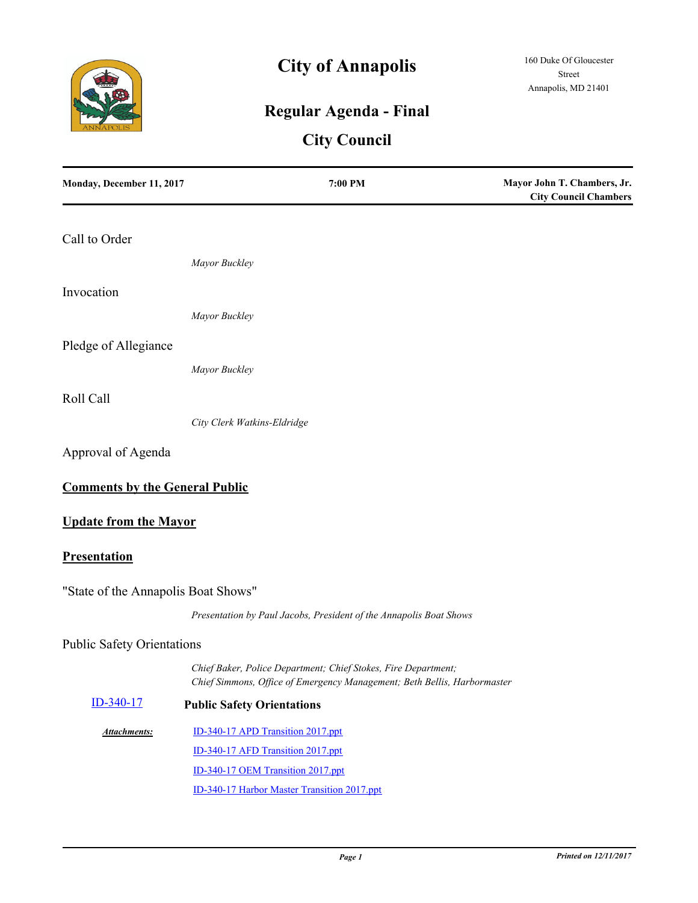

# **City of Annapolis**

# **Regular Agenda - Final**

# **City Council**

| Monday, December 11, 2017             | 7:00 PM                                                                                                                                    | Mayor John T. Chambers, Jr.<br><b>City Council Chambers</b> |
|---------------------------------------|--------------------------------------------------------------------------------------------------------------------------------------------|-------------------------------------------------------------|
| Call to Order                         |                                                                                                                                            |                                                             |
|                                       | Mayor Buckley                                                                                                                              |                                                             |
| Invocation                            |                                                                                                                                            |                                                             |
|                                       | Mayor Buckley                                                                                                                              |                                                             |
| Pledge of Allegiance                  |                                                                                                                                            |                                                             |
|                                       | Mayor Buckley                                                                                                                              |                                                             |
| Roll Call                             |                                                                                                                                            |                                                             |
|                                       | City Clerk Watkins-Eldridge                                                                                                                |                                                             |
| Approval of Agenda                    |                                                                                                                                            |                                                             |
| <b>Comments by the General Public</b> |                                                                                                                                            |                                                             |
| <b>Update from the Mayor</b>          |                                                                                                                                            |                                                             |
| Presentation                          |                                                                                                                                            |                                                             |
| "State of the Annapolis Boat Shows"   |                                                                                                                                            |                                                             |
|                                       | Presentation by Paul Jacobs, President of the Annapolis Boat Shows                                                                         |                                                             |
| <b>Public Safety Orientations</b>     |                                                                                                                                            |                                                             |
|                                       | Chief Baker, Police Department; Chief Stokes, Fire Department;<br>Chief Simmons, Office of Emergency Management; Beth Bellis, Harbormaster |                                                             |
| ID-340-17                             | <b>Public Safety Orientations</b>                                                                                                          |                                                             |
| <b>Attachments:</b>                   | ID-340-17 APD Transition 2017.ppt                                                                                                          |                                                             |
|                                       | ID-340-17 AFD Transition 2017.ppt                                                                                                          |                                                             |
|                                       | ID-340-17 OEM Transition 2017.ppt                                                                                                          |                                                             |
|                                       | ID-340-17 Harbor Master Transition 2017.ppt                                                                                                |                                                             |